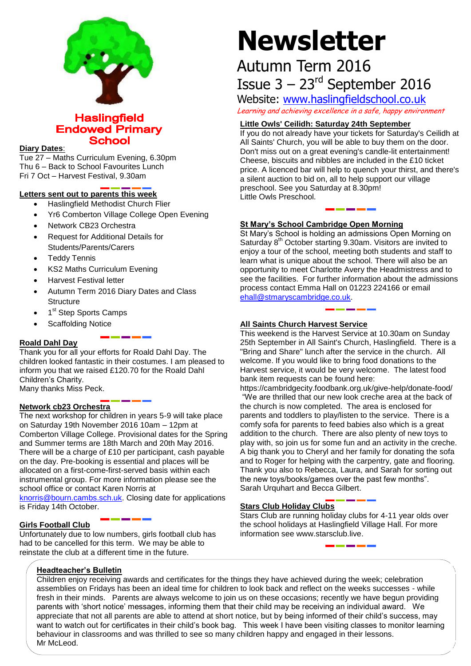

**Haslingfield Endowed Primary School** 

#### **Diary Dates**:

Tue 27 – Maths Curriculum Evening, 6.30pm Thu 6 – Back to School Favourites Lunch Fri 7 Oct – Harvest Festival, 9.30am

# **Letters sent out to parents this week**

- Haslingfield Methodist Church Flier
- Yr6 Comberton Village College Open Evening
- Network CB23 Orchestra
- Request for Additional Details for Students/Parents/Carers
- Teddy Tennis
- KS2 Maths Curriculum Evening
- **•** Harvest Festival letter
- Autumn Term 2016 Diary Dates and Class **Structure**
- 1<sup>st</sup> Step Sports Camps
- Scaffolding Notice

# **Roald Dahl Day**

Thank you for all your efforts for Roald Dahl Day. The children looked fantastic in their costumes. I am pleased to inform you that we raised £120.70 for the Roald Dahl Children's Charity. Many thanks Miss Peck.

**Network cb23 Orchestra** 

The next workshop for children in years 5-9 will take place on Saturday 19th November 2016 10am – 12pm at Comberton Village College. Provisional dates for the Spring and Summer terms are 18th March and 20th May 2016. There will be a charge of £10 per participant, cash payable on the day. Pre-booking is essential and places will be allocated on a first-come-first-served basis within each instrumental group. For more information please see the school office or contact Karen Norris at [knorris@bourn.cambs.sch.uk.](mailto:knorris@bourn.cambs.sch.uk) Closing date for applications

is Friday 14th October.

# **Girls Football Club**

Unfortunately due to low numbers, girls football club has had to be cancelled for this term. We may be able to reinstate the club at a different time in the future.

# **Newsletter**

# Autumn Term 2016 Issue  $3 - 23<sup>rd</sup>$  September 2016

Website: [www.haslingfieldschool.co.uk](http://www.haslingfieldschool.co.uk/)

Learning and achieving excellence in a safe, happy environment

#### **Little Owls' Ceilidh: Saturday 24th September**

If you do not already have your tickets for Saturday's Ceilidh at All Saints' Church, you will be able to buy them on the door. Don't miss out on a great evening's candle-lit entertainment! Cheese, biscuits and nibbles are included in the £10 ticket price. A licenced bar will help to quench your thirst, and there's a silent auction to bid on, all to help support our village preschool. See you Saturday at 8.30pm! Little Owls Preschool.

#### **St Mary's School Cambridge Open Morning**

St Mary's School is holding an admissions Open Morning on Saturday 8<sup>th</sup> October starting 9.30am. Visitors are invited to enjoy a tour of the school, meeting both students and staff to learn what is unique about the school. There will also be an opportunity to meet Charlotte Avery the Headmistress and to see the facilities. For further information about the admissions process contact Emma Hall on 01223 224166 or email [ehall@stmaryscambridge.co.uk.](mailto:ehall@stmaryscambridge.co.uk)

# **All Saints Church Harvest Service**

This weekend is the Harvest Service at 10.30am on Sunday 25th September in All Saint's Church, Haslingfield. There is a "Bring and Share" lunch after the service in the church. All welcome. If you would like to bring food donations to the Harvest service, it would be very welcome. The latest food bank item requests can be found here:

https://cambridgecity.foodbank.org.uk/give-help/donate-food/ "We are thrilled that our new look creche area at the back of the church is now completed. The area is enclosed for parents and toddlers to play/listen to the service. There is a comfy sofa for parents to feed babies also which is a great addition to the church. There are also plenty of new toys to play with, so join us for some fun and an activity in the creche. A big thank you to Cheryl and her family for donating the sofa and to Roger for helping with the carpentry, gate and flooring. Thank you also to Rebecca, Laura, and Sarah for sorting out the new toys/books/games over the past few months". Sarah Urquhart and Becca Gilbert.

# **Stars Club Holiday Clubs**

Stars Club are running holiday clubs for 4-11 year olds over the school holidays at Haslingfield Village Hall. For more information see www.starsclub.live.

#### **Headteacher's Bulletin**

Children enjoy receiving awards and certificates for the things they have achieved during the week; celebration assemblies on Fridays has been an ideal time for children to look back and reflect on the weeks successes - while fresh in their minds. Parents are always welcome to join us on these occasions; recently we have begun providing parents with 'short notice' messages, informing them that their child may be receiving an individual award. We appreciate that not all parents are able to attend at short notice, but by being informed of their child's success, may want to watch out for certificates in their child's book bag. This week I have been visiting classes to monitor learning behaviour in classrooms and was thrilled to see so many children happy and engaged in their lessons. Mr McLeod.